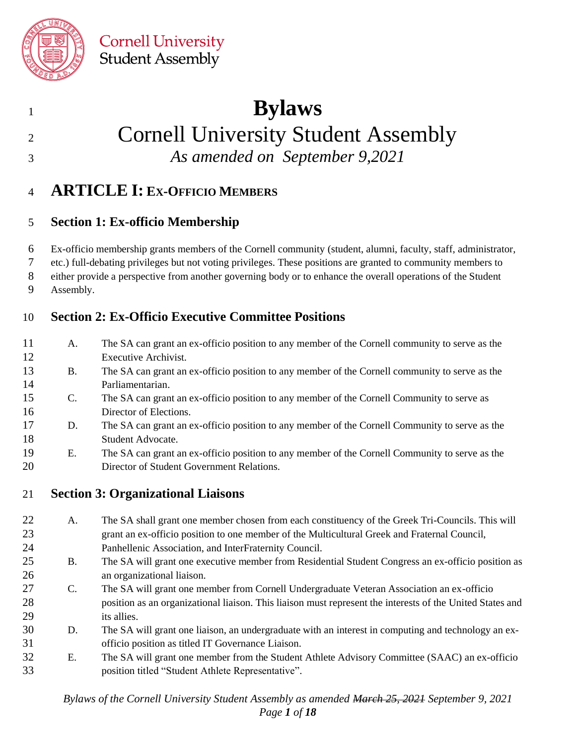

## **Bylaws**

## Cornell University Student Assembly

*As amended on September 9,2021*

## **ARTICLE I: EX-OFFICIO MEMBERS**

#### **Section 1: Ex-officio Membership**

Ex-officio membership grants members of the Cornell community (student, alumni, faculty, staff, administrator,

etc.) full-debating privileges but not voting privileges. These positions are granted to community members to

either provide a perspective from another governing body or to enhance the overall operations of the Student

Assembly.

#### **Section 2: Ex-Officio Executive Committee Positions**

- A. The SA can grant an ex-officio position to any member of the Cornell community to serve as the Executive Archivist.
- B. The SA can grant an ex-officio position to any member of the Cornell community to serve as the Parliamentarian.
- C. The SA can grant an ex-officio position to any member of the Cornell Community to serve as Director of Elections.
- D. The SA can grant an ex-officio position to any member of the Cornell Community to serve as the Student Advocate.
- E. The SA can grant an ex-officio position to any member of the Cornell Community to serve as the Director of Student Government Relations.

#### **Section 3: Organizational Liaisons**

- A. The SA shall grant one member chosen from each constituency of the Greek Tri-Councils. This will grant an ex-officio position to one member of the Multicultural Greek and Fraternal Council, Panhellenic Association, and InterFraternity Council.
- B. The SA will grant one executive member from Residential Student Congress an ex-officio position as an organizational liaison.
- C. The SA will grant one member from Cornell Undergraduate Veteran Association an ex-officio position as an organizational liaison. This liaison must represent the interests of the United States and its allies.
- D. The SA will grant one liaison, an undergraduate with an interest in computing and technology an ex-officio position as titled IT Governance Liaison.
- E. The SA will grant one member from the Student Athlete Advisory Committee (SAAC) an ex-officio position titled "Student Athlete Representative".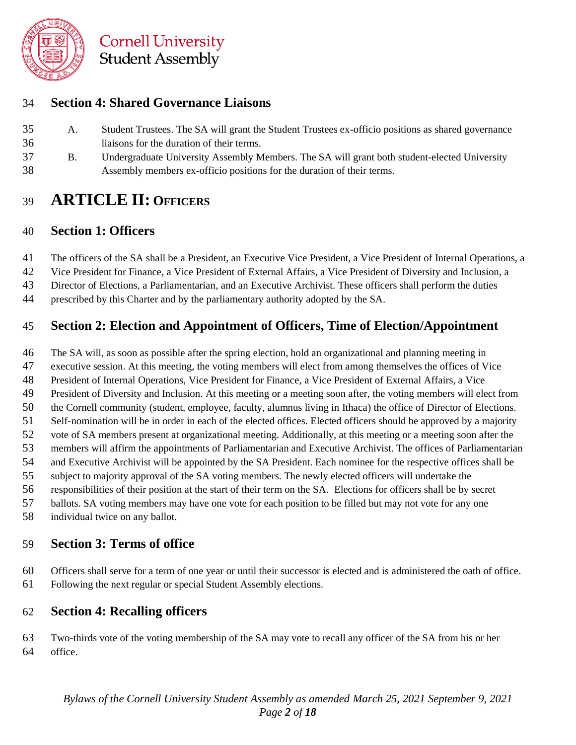

#### **Section 4: Shared Governance Liaisons**

- A. Student Trustees. The SA will grant the Student Trustees ex-officio positions as shared governance liaisons for the duration of their terms.
- B. Undergraduate University Assembly Members. The SA will grant both student-elected University Assembly members ex-officio positions for the duration of their terms.

## **ARTICLE II: OFFICERS**

#### **Section 1: Officers**

The officers of the SA shall be a President, an Executive Vice President, a Vice President of Internal Operations, a

- Vice President for Finance, a Vice President of External Affairs, a Vice President of Diversity and Inclusion, a
- Director of Elections, a Parliamentarian, and an Executive Archivist. These officers shall perform the duties
- prescribed by this Charter and by the parliamentary authority adopted by the SA.

#### **Section 2: Election and Appointment of Officers, Time of Election/Appointment**

The SA will, as soon as possible after the spring election, hold an organizational and planning meeting in

- executive session. At this meeting, the voting members will elect from among themselves the offices of Vice
- President of Internal Operations, Vice President for Finance, a Vice President of External Affairs, a Vice
- President of Diversity and Inclusion. At this meeting or a meeting soon after, the voting members will elect from
- the Cornell community (student, employee, faculty, alumnus living in Ithaca) the office of Director of Elections.
- Self-nomination will be in order in each of the elected offices. Elected officers should be approved by a majority
- vote of SA members present at organizational meeting. Additionally, at this meeting or a meeting soon after the
- members will affirm the appointments of Parliamentarian and Executive Archivist. The offices of Parliamentarian
- and Executive Archivist will be appointed by the SA President. Each nominee for the respective offices shall be
- subject to majority approval of the SA voting members. The newly elected officers will undertake the
- responsibilities of their position at the start of their term on the SA. Elections for officers shall be by secret
- ballots. SA voting members may have one vote for each position to be filled but may not vote for any one
- individual twice on any ballot.

#### **Section 3: Terms of office**

 Officers shall serve for a term of one year or until their successor is elected and is administered the oath of office. Following the next regular or special Student Assembly elections.

## **Section 4: Recalling officers**

 Two-thirds vote of the voting membership of the SA may vote to recall any officer of the SA from his or her office.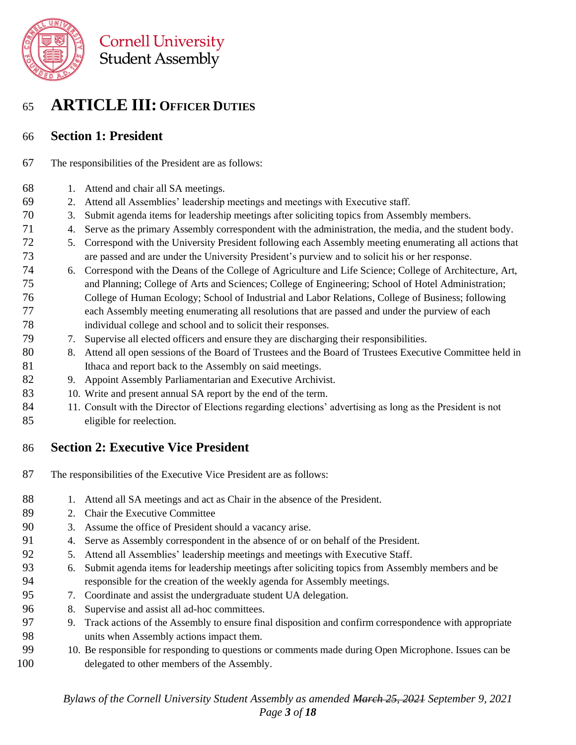

## **ARTICLE III: OFFICER DUTIES**

#### **Section 1: President**

- The responsibilities of the President are as follows:
- 1. Attend and chair all SA meetings.
- 2. Attend all Assemblies' leadership meetings and meetings with Executive staff.
- 3. Submit agenda items for leadership meetings after soliciting topics from Assembly members.
- 4. Serve as the primary Assembly correspondent with the administration, the media, and the student body.
- 5. Correspond with the University President following each Assembly meeting enumerating all actions that are passed and are under the University President's purview and to solicit his or her response.
- 6. Correspond with the Deans of the College of Agriculture and Life Science; College of Architecture, Art, and Planning; College of Arts and Sciences; College of Engineering; School of Hotel Administration; College of Human Ecology; School of Industrial and Labor Relations, College of Business; following each Assembly meeting enumerating all resolutions that are passed and under the purview of each individual college and school and to solicit their responses.
- 7. Supervise all elected officers and ensure they are discharging their responsibilities.
- 8. Attend all open sessions of the Board of Trustees and the Board of Trustees Executive Committee held in 81 Ithaca and report back to the Assembly on said meetings.
- 9. Appoint Assembly Parliamentarian and Executive Archivist.
- 83 10. Write and present annual SA report by the end of the term.
- 11. Consult with the Director of Elections regarding elections' advertising as long as the President is not eligible for reelection.

#### **Section 2: Executive Vice President**

- The responsibilities of the Executive Vice President are as follows:
- 88 1. Attend all SA meetings and act as Chair in the absence of the President.
- 2. Chair the Executive Committee
- 3. Assume the office of President should a vacancy arise.
- 4. Serve as Assembly correspondent in the absence of or on behalf of the President.
- 5. Attend all Assemblies' leadership meetings and meetings with Executive Staff.
- 6. Submit agenda items for leadership meetings after soliciting topics from Assembly members and be responsible for the creation of the weekly agenda for Assembly meetings.
- 7. Coordinate and assist the undergraduate student UA delegation.
- 8. Supervise and assist all ad-hoc committees.
- 9. Track actions of the Assembly to ensure final disposition and confirm correspondence with appropriate units when Assembly actions impact them.
- 10. Be responsible for responding to questions or comments made during Open Microphone. Issues can be delegated to other members of the Assembly.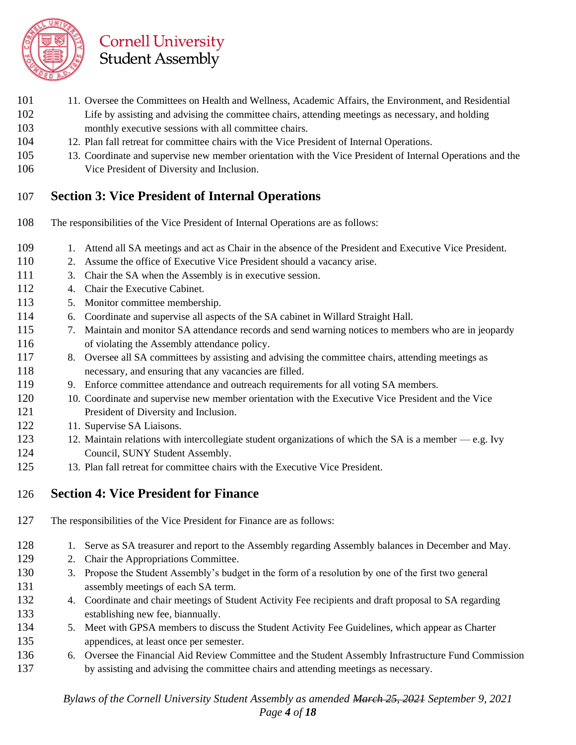

- 101 11. Oversee the Committees on Health and Wellness, Academic Affairs, the Environment, and Residential Life by assisting and advising the committee chairs, attending meetings as necessary, and holding monthly executive sessions with all committee chairs.
- 12. Plan fall retreat for committee chairs with the Vice President of Internal Operations.
- 13. Coordinate and supervise new member orientation with the Vice President of Internal Operations and the
- Vice President of Diversity and Inclusion.

#### **Section 3: Vice President of Internal Operations**

- The responsibilities of the Vice President of Internal Operations are as follows:
- 109 1. Attend all SA meetings and act as Chair in the absence of the President and Executive Vice President.
- 2. Assume the office of Executive Vice President should a vacancy arise.
- 3. Chair the SA when the Assembly is in executive session.
- 112 4. Chair the Executive Cabinet.
- 5. Monitor committee membership.
- 6. Coordinate and supervise all aspects of the SA cabinet in Willard Straight Hall.
- 7. Maintain and monitor SA attendance records and send warning notices to members who are in jeopardy of violating the Assembly attendance policy.
- 117 8. Oversee all SA committees by assisting and advising the committee chairs, attending meetings as necessary, and ensuring that any vacancies are filled.
- 9. Enforce committee attendance and outreach requirements for all voting SA members.
- 10. Coordinate and supervise new member orientation with the Executive Vice President and the Vice President of Diversity and Inclusion.
- 122 11. Supervise SA Liaisons.
- 123 12. Maintain relations with intercollegiate student organizations of which the SA is a member e.g. Ivy 124 Council, SUNY Student Assembly.
- 13. Plan fall retreat for committee chairs with the Executive Vice President.

#### **Section 4: Vice President for Finance**

- The responsibilities of the Vice President for Finance are as follows:
- 1. Serve as SA treasurer and report to the Assembly regarding Assembly balances in December and May.
- 2. Chair the Appropriations Committee.
- 3. Propose the Student Assembly's budget in the form of a resolution by one of the first two general assembly meetings of each SA term.
- 4. Coordinate and chair meetings of Student Activity Fee recipients and draft proposal to SA regarding establishing new fee, biannually.
- 5. Meet with GPSA members to discuss the Student Activity Fee Guidelines, which appear as Charter appendices, at least once per semester.
- 6. Oversee the Financial Aid Review Committee and the Student Assembly Infrastructure Fund Commission by assisting and advising the committee chairs and attending meetings as necessary.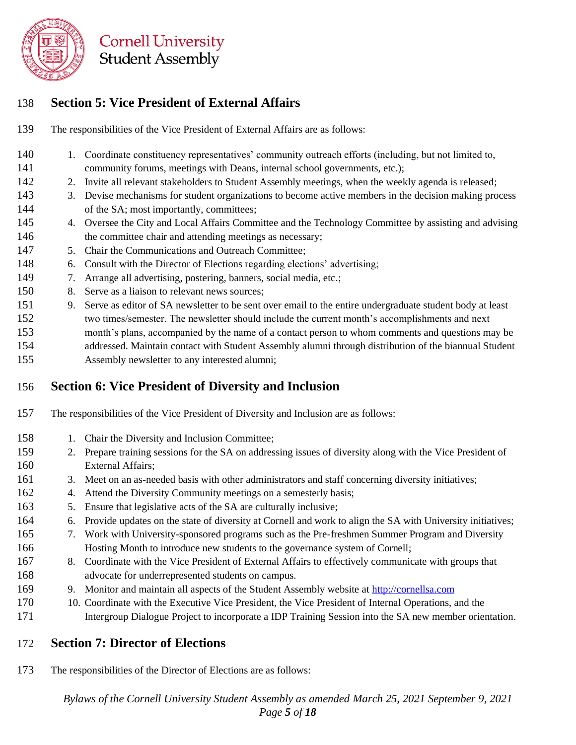

#### **Section 5: Vice President of External Affairs**

**Cornell University Student Assembly** 

- The responsibilities of the Vice President of External Affairs are as follows:
- 140 1. Coordinate constituency representatives' community outreach efforts (including, but not limited to, community forums, meetings with Deans, internal school governments, etc.);
- 2. Invite all relevant stakeholders to Student Assembly meetings, when the weekly agenda is released;
- 3. Devise mechanisms for student organizations to become active members in the decision making process of the SA; most importantly, committees;
- 4. Oversee the City and Local Affairs Committee and the Technology Committee by assisting and advising 146 the committee chair and attending meetings as necessary;
- 5. Chair the Communications and Outreach Committee;
- 6. Consult with the Director of Elections regarding elections' advertising;
- 7. Arrange all advertising, postering, banners, social media, etc.;
- 8. Serve as a liaison to relevant news sources;
- 9. Serve as editor of SA newsletter to be sent over email to the entire undergraduate student body at least two times/semester. The newsletter should include the current month's accomplishments and next
- month's plans, accompanied by the name of a contact person to whom comments and questions may be addressed. Maintain contact with Student Assembly alumni through distribution of the biannual Student
- Assembly newsletter to any interested alumni;

#### **Section 6: Vice President of Diversity and Inclusion**

- The responsibilities of the Vice President of Diversity and Inclusion are as follows:
- 158 1. Chair the Diversity and Inclusion Committee;
- 2. Prepare training sessions for the SA on addressing issues of diversity along with the Vice President of External Affairs;
- 161 3. Meet on an as-needed basis with other administrators and staff concerning diversity initiatives;
- 4. Attend the Diversity Community meetings on a semesterly basis;
- 163 5. Ensure that legislative acts of the SA are culturally inclusive;
- 6. Provide updates on the state of diversity at Cornell and work to align the SA with University initiatives;
- 7. Work with University-sponsored programs such as the Pre-freshmen Summer Program and Diversity Hosting Month to introduce new students to the governance system of Cornell;
- 8. Coordinate with the Vice President of External Affairs to effectively communicate with groups that advocate for underrepresented students on campus.
- 9. Monitor and maintain all aspects of the Student Assembly website at [http://cornellsa.com](http://cornellsa.com/)
- 10. Coordinate with the Executive Vice President, the Vice President of Internal Operations, and the Intergroup Dialogue Project to incorporate a IDP Training Session into the SA new member orientation.

#### **Section 7: Director of Elections**

The responsibilities of the Director of Elections are as follows:

*Bylaws of the Cornell University Student Assembly as amended March 25, 2021 September 9, 2021 Page 5 of 18*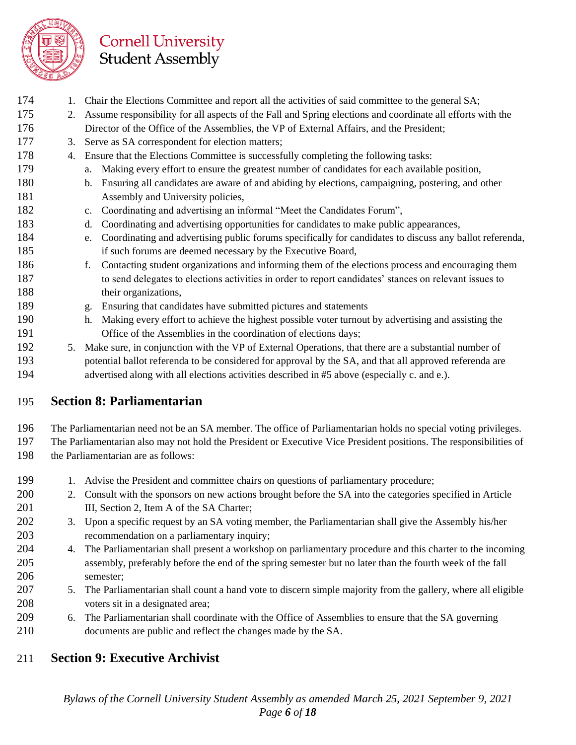

- 174 1. Chair the Elections Committee and report all the activities of said committee to the general SA;
- 2. Assume responsibility for all aspects of the Fall and Spring elections and coordinate all efforts with the Director of the Office of the Assemblies, the VP of External Affairs, and the President;
- 3. Serve as SA correspondent for election matters;
- 178 4. Ensure that the Elections Committee is successfully completing the following tasks:
- a. Making every effort to ensure the greatest number of candidates for each available position,
- b. Ensuring all candidates are aware of and abiding by elections, campaigning, postering, and other 181 Assembly and University policies,
- c. Coordinating and advertising an informal "Meet the Candidates Forum",
- d. Coordinating and advertising opportunities for candidates to make public appearances,
- e. Coordinating and advertising public forums specifically for candidates to discuss any ballot referenda, if such forums are deemed necessary by the Executive Board,
- f. Contacting student organizations and informing them of the elections process and encouraging them to send delegates to elections activities in order to report candidates' stances on relevant issues to 188 their organizations,
- g. Ensuring that candidates have submitted pictures and statements
- h. Making every effort to achieve the highest possible voter turnout by advertising and assisting the Office of the Assemblies in the coordination of elections days;
- 5. Make sure, in conjunction with the VP of External Operations, that there are a substantial number of potential ballot referenda to be considered for approval by the SA, and that all approved referenda are advertised along with all elections activities described in #5 above (especially c. and e.).

#### **Section 8: Parliamentarian**

 The Parliamentarian need not be an SA member. The office of Parliamentarian holds no special voting privileges. The Parliamentarian also may not hold the President or Executive Vice President positions. The responsibilities of 198 the Parliamentarian are as follows:

- 199 1. Advise the President and committee chairs on questions of parliamentary procedure;
- 2. Consult with the sponsors on new actions brought before the SA into the categories specified in Article **III, Section 2, Item A of the SA Charter;**
- 3. Upon a specific request by an SA voting member, the Parliamentarian shall give the Assembly his/her recommendation on a parliamentary inquiry;
- 4. The Parliamentarian shall present a workshop on parliamentary procedure and this charter to the incoming assembly, preferably before the end of the spring semester but no later than the fourth week of the fall semester;
- 5. The Parliamentarian shall count a hand vote to discern simple majority from the gallery, where all eligible voters sit in a designated area;
- 6. The Parliamentarian shall coordinate with the Office of Assemblies to ensure that the SA governing documents are public and reflect the changes made by the SA.

#### **Section 9: Executive Archivist**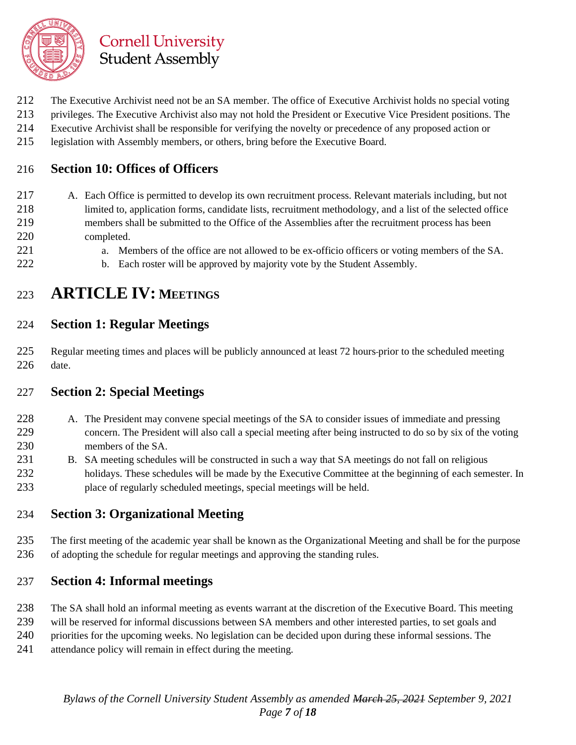

- The Executive Archivist need not be an SA member. The office of Executive Archivist holds no special voting
- privileges. The Executive Archivist also may not hold the President or Executive Vice President positions. The
- Executive Archivist shall be responsible for verifying the novelty or precedence of any proposed action or
- legislation with Assembly members, or others, bring before the Executive Board.

#### **Section 10: Offices of Officers**

- A. Each Office is permitted to develop its own recruitment process. Relevant materials including, but not limited to, application forms, candidate lists, recruitment methodology, and a list of the selected office members shall be submitted to the Office of the Assemblies after the recruitment process has been completed.
- a. Members of the office are not allowed to be ex-officio officers or voting members of the SA.
- 222 b. Each roster will be approved by majority vote by the Student Assembly.

## **ARTICLE IV:** MEETINGS

#### **Section 1: Regular Meetings**

225 Regular meeting times and places will be publicly announced at least 72 hours-prior to the scheduled meeting date.

#### **Section 2: Special Meetings**

- A. The President may convene special meetings of the SA to consider issues of immediate and pressing concern. The President will also call a special meeting after being instructed to do so by six of the voting members of the SA.
- B. SA meeting schedules will be constructed in such a way that SA meetings do not fall on religious 232 holidays. These schedules will be made by the Executive Committee at the beginning of each semester. In place of regularly scheduled meetings, special meetings will be held.

#### **Section 3: Organizational Meeting**

 The first meeting of the academic year shall be known as the Organizational Meeting and shall be for the purpose of adopting the schedule for regular meetings and approving the standing rules.

#### **Section 4: Informal meetings**

- The SA shall hold an informal meeting as events warrant at the discretion of the Executive Board. This meeting
- will be reserved for informal discussions between SA members and other interested parties, to set goals and
- priorities for the upcoming weeks. No legislation can be decided upon during these informal sessions. The
- attendance policy will remain in effect during the meeting.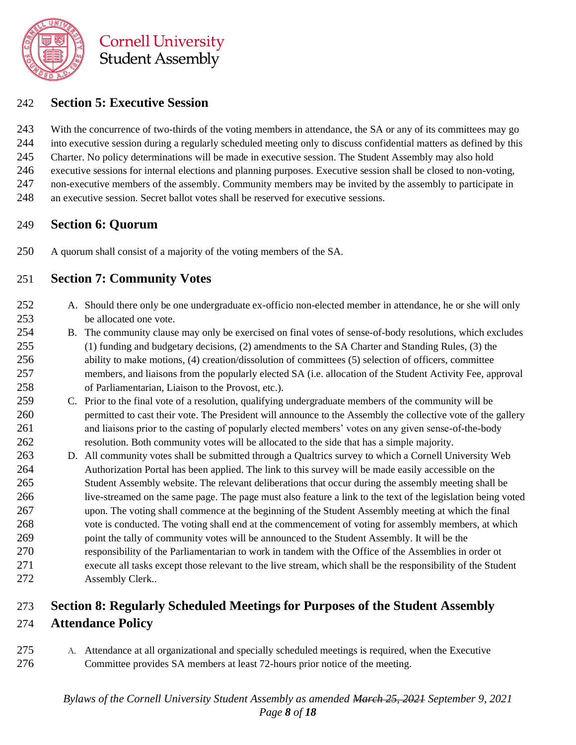

#### **Section 5: Executive Session**

243 With the concurrence of two-thirds of the voting members in attendance, the SA or any of its committees may go into executive session during a regularly scheduled meeting only to discuss confidential matters as defined by this Charter. No policy determinations will be made in executive session. The Student Assembly may also hold executive sessions for internal elections and planning purposes. Executive session shall be closed to non-voting, non-executive members of the assembly. Community members may be invited by the assembly to participate in an executive session. Secret ballot votes shall be reserved for executive sessions.

#### **Section 6: Quorum**

A quorum shall consist of a majority of the voting members of the SA.

#### **Section 7: Community Votes**

- A. Should there only be one undergraduate ex-officio non-elected member in attendance, he or she will only be allocated one vote.
- B. The community clause may only be exercised on final votes of sense-of-body resolutions, which excludes (1) funding and budgetary decisions, (2) amendments to the SA Charter and Standing Rules, (3) the ability to make motions, (4) creation/dissolution of committees (5) selection of officers, committee members, and liaisons from the popularly elected SA (i.e. allocation of the Student Activity Fee, approval of Parliamentarian, Liaison to the Provost, etc.).
- C. Prior to the final vote of a resolution, qualifying undergraduate members of the community will be permitted to cast their vote. The President will announce to the Assembly the collective vote of the gallery and liaisons prior to the casting of popularly elected members' votes on any given sense-of-the-body resolution. Both community votes will be allocated to the side that has a simple majority.
- D. All community votes shall be submitted through a Qualtrics survey to which a Cornell University Web Authorization Portal has been applied. The link to this survey will be made easily accessible on the Student Assembly website. The relevant deliberations that occur during the assembly meeting shall be live-streamed on the same page. The page must also feature a link to the text of the legislation being voted upon. The voting shall commence at the beginning of the Student Assembly meeting at which the final vote is conducted. The voting shall end at the commencement of voting for assembly members, at which point the tally of community votes will be announced to the Student Assembly. It will be the responsibility of the Parliamentarian to work in tandem with the Office of the Assemblies in order ot 271 execute all tasks except those relevant to the live stream, which shall be the responsibility of the Student Assembly Clerk..

## **Section 8: Regularly Scheduled Meetings for Purposes of the Student Assembly Attendance Policy**

 A. Attendance at all organizational and specially scheduled meetings is required, when the Executive Committee provides SA members at least 72-hours prior notice of the meeting.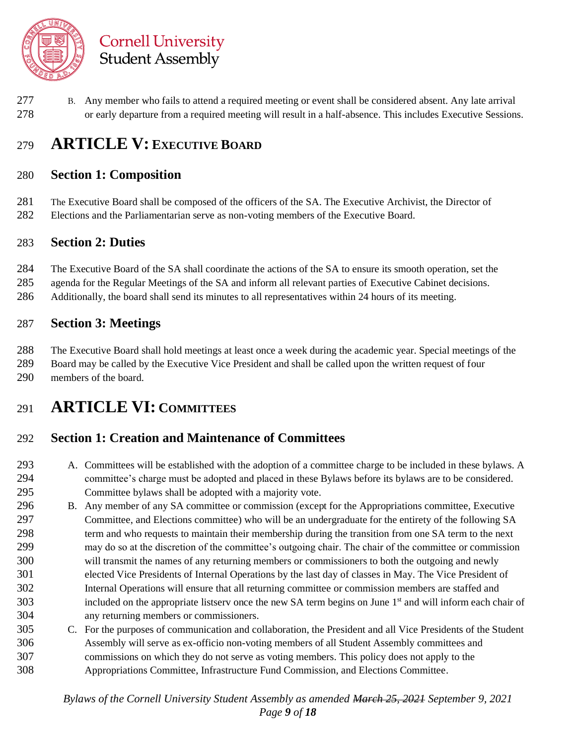

 B. Any member who fails to attend a required meeting or event shall be considered absent. Any late arrival or early departure from a required meeting will result in a half-absence. This includes Executive Sessions.

## **ARTICLE V: EXECUTIVE BOARD**

#### **Section 1: Composition**

 The Executive Board shall be composed of the officers of the SA. The Executive Archivist, the Director of Elections and the Parliamentarian serve as non-voting members of the Executive Board.

#### **Section 2: Duties**

 The Executive Board of the SA shall coordinate the actions of the SA to ensure its smooth operation, set the agenda for the Regular Meetings of the SA and inform all relevant parties of Executive Cabinet decisions. Additionally, the board shall send its minutes to all representatives within 24 hours of its meeting.

#### **Section 3: Meetings**

 The Executive Board shall hold meetings at least once a week during the academic year. Special meetings of the Board may be called by the Executive Vice President and shall be called upon the written request of four members of the board.

## **ARTICLE VI: COMMITTEES**

#### **Section 1: Creation and Maintenance of Committees**

- A. Committees will be established with the adoption of a committee charge to be included in these bylaws. A committee's charge must be adopted and placed in these Bylaws before its bylaws are to be considered. Committee bylaws shall be adopted with a majority vote.
- B. Any member of any SA committee or commission (except for the Appropriations committee, Executive Committee, and Elections committee) who will be an undergraduate for the entirety of the following SA term and who requests to maintain their membership during the transition from one SA term to the next may do so at the discretion of the committee's outgoing chair. The chair of the committee or commission will transmit the names of any returning members or commissioners to both the outgoing and newly elected Vice Presidents of Internal Operations by the last day of classes in May. The Vice President of Internal Operations will ensure that all returning committee or commission members are staffed and 303 included on the appropriate listserv once the new SA term begins on June  $1<sup>st</sup>$  and will inform each chair of any returning members or commissioners.
- C. For the purposes of communication and collaboration, the President and all Vice Presidents of the Student Assembly will serve as ex-officio non-voting members of all Student Assembly committees and commissions on which they do not serve as voting members. This policy does not apply to the Appropriations Committee, Infrastructure Fund Commission, and Elections Committee.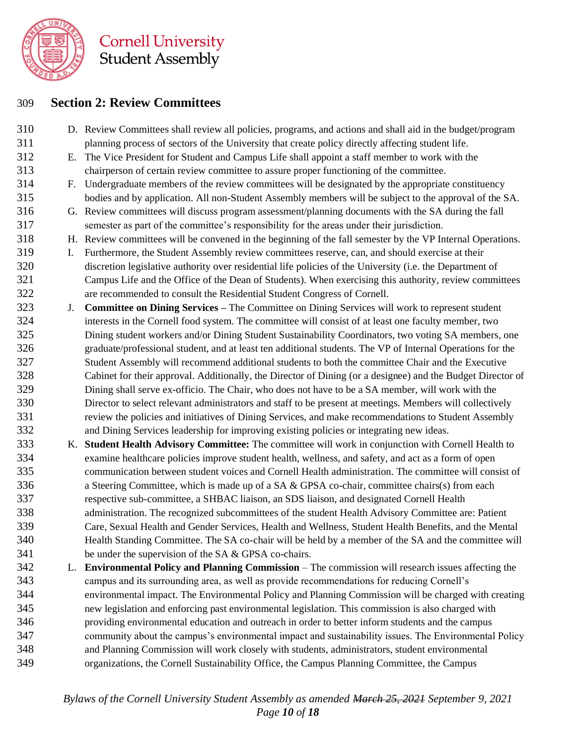

#### **Section 2: Review Committees**

- D. Review Committees shall review all policies, programs, and actions and shall aid in the budget/program planning process of sectors of the University that create policy directly affecting student life.
- E. The Vice President for Student and Campus Life shall appoint a staff member to work with the chairperson of certain review committee to assure proper functioning of the committee.
- F. Undergraduate members of the review committees will be designated by the appropriate constituency bodies and by application. All non-Student Assembly members will be subject to the approval of the SA.
- G. Review committees will discuss program assessment/planning documents with the SA during the fall semester as part of the committee's responsibility for the areas under their jurisdiction.
- H. Review committees will be convened in the beginning of the fall semester by the VP Internal Operations.
- I. Furthermore, the Student Assembly review committees reserve, can, and should exercise at their discretion legislative authority over residential life policies of the University (i.e. the Department of Campus Life and the Office of the Dean of Students). When exercising this authority, review committees are recommended to consult the Residential Student Congress of Cornell.
- J. **Committee on Dining Services –** The Committee on Dining Services will work to represent student interests in the Cornell food system. The committee will consist of at least one faculty member, two Dining student workers and/or Dining Student Sustainability Coordinators, two voting SA members, one graduate/professional student, and at least ten additional students. The VP of Internal Operations for the Student Assembly will recommend additional students to both the committee Chair and the Executive Cabinet for their approval. Additionally, the Director of Dining (or a designee) and the Budget Director of Dining shall serve ex-officio. The Chair, who does not have to be a SA member, will work with the Director to select relevant administrators and staff to be present at meetings. Members will collectively review the policies and initiatives of Dining Services, and make recommendations to Student Assembly and Dining Services leadership for improving existing policies or integrating new ideas.
- K. **Student Health Advisory Committee:** The committee will work in conjunction with Cornell Health to examine healthcare policies improve student health, wellness, and safety, and act as a form of open communication between student voices and Cornell Health administration. The committee will consist of a Steering Committee, which is made up of a SA & GPSA co-chair, committee chairs(s) from each respective sub-committee, a SHBAC liaison, an SDS liaison, and designated Cornell Health administration. The recognized subcommittees of the student Health Advisory Committee are: Patient Care, Sexual Health and Gender Services, Health and Wellness, Student Health Benefits, and the Mental Health Standing Committee. The SA co-chair will be held by a member of the SA and the committee will be under the supervision of the SA & GPSA co-chairs.
- L. **Environmental Policy and Planning Commission** The commission will research issues affecting the campus and its surrounding area, as well as provide recommendations for reducing Cornell's environmental impact. The Environmental Policy and Planning Commission will be charged with creating new legislation and enforcing past environmental legislation. This commission is also charged with providing environmental education and outreach in order to better inform students and the campus community about the campus's environmental impact and sustainability issues. The Environmental Policy and Planning Commission will work closely with students, administrators, student environmental organizations, the Cornell Sustainability Office, the Campus Planning Committee, the Campus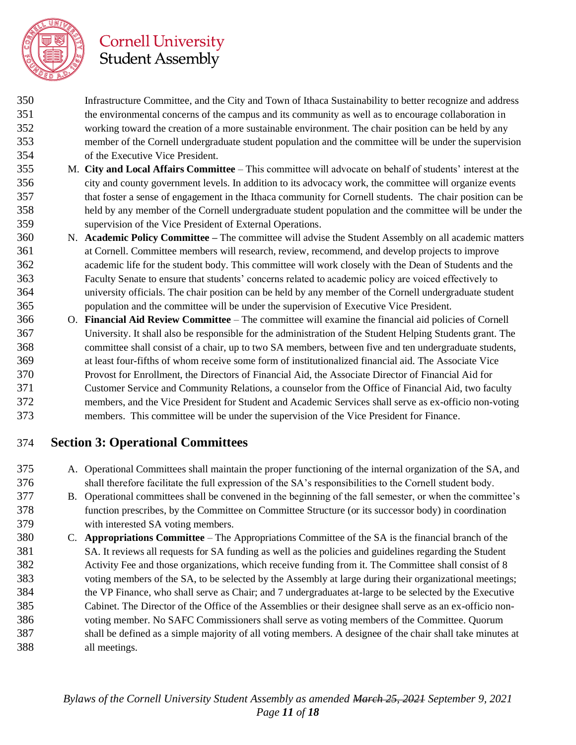

- Infrastructure Committee, and the City and Town of Ithaca Sustainability to better recognize and address the environmental concerns of the campus and its community as well as to encourage collaboration in working toward the creation of a more sustainable environment. The chair position can be held by any member of the Cornell undergraduate student population and the committee will be under the supervision of the Executive Vice President.
- M. **City and Local Affairs Committee** This committee will advocate on behalf of students' interest at the city and county government levels. In addition to its advocacy work, the committee will organize events that foster a sense of engagement in the Ithaca community for Cornell students. The chair position can be held by any member of the Cornell undergraduate student population and the committee will be under the supervision of the Vice President of External Operations.
- N. **Academic Policy Committee –** The committee will advise the Student Assembly on all academic matters at Cornell. Committee members will research, review, recommend, and develop projects to improve academic life for the student body. This committee will work closely with the Dean of Students and the Faculty Senate to ensure that students' concerns related to academic policy are voiced effectively to university officials. The chair position can be held by any member of the Cornell undergraduate student population and the committee will be under the supervision of Executive Vice President.
- O. **Financial Aid Review Committee** The committee will examine the financial aid policies of Cornell University. It shall also be responsible for the administration of the Student Helping Students grant. The committee shall consist of a chair, up to two SA members, between five and ten undergraduate students, at least four-fifths of whom receive some form of institutionalized financial aid. The Associate Vice Provost for Enrollment, the Directors of Financial Aid, the Associate Director of Financial Aid for Customer Service and Community Relations, a counselor from the Office of Financial Aid, two faculty members, and the Vice President for Student and Academic Services shall serve as ex-officio non-voting members. This committee will be under the supervision of the Vice President for Finance.

#### **Section 3: Operational Committees**

- A. Operational Committees shall maintain the proper functioning of the internal organization of the SA, and shall therefore facilitate the full expression of the SA's responsibilities to the Cornell student body.
- B. Operational committees shall be convened in the beginning of the fall semester, or when the committee's function prescribes, by the Committee on Committee Structure (or its successor body) in coordination with interested SA voting members.
- C. **Appropriations Committee** The Appropriations Committee of the SA is the financial branch of the SA. It reviews all requests for SA funding as well as the policies and guidelines regarding the Student Activity Fee and those organizations, which receive funding from it. The Committee shall consist of 8 voting members of the SA, to be selected by the Assembly at large during their organizational meetings; the VP Finance, who shall serve as Chair; and 7 undergraduates at-large to be selected by the Executive Cabinet. The Director of the Office of the Assemblies or their designee shall serve as an ex-officio non- voting member. No SAFC Commissioners shall serve as voting members of the Committee. Quorum shall be defined as a simple majority of all voting members. A designee of the chair shall take minutes at all meetings.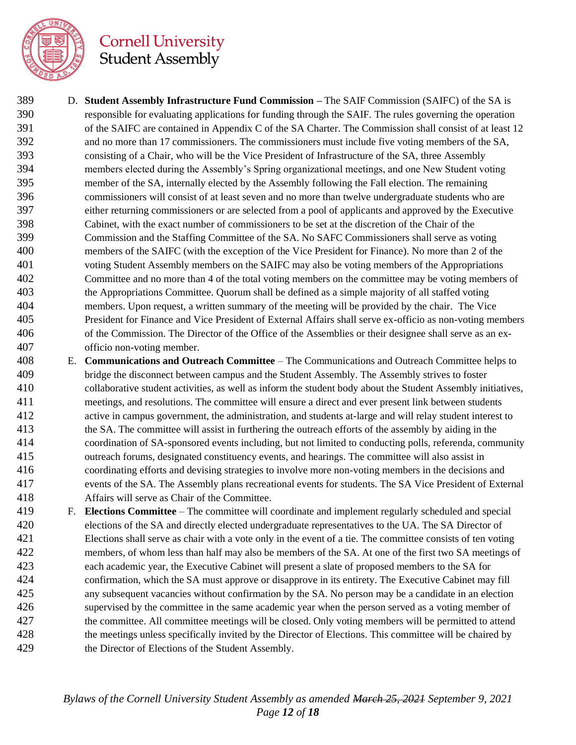

- D. **Student Assembly Infrastructure Fund Commission –** The SAIF Commission (SAIFC) of the SA is responsible for evaluating applications for funding through the SAIF. The rules governing the operation 391 of the SAIFC are contained in Appendix C of the SA Charter. The Commission shall consist of at least 12 and no more than 17 commissioners. The commissioners must include five voting members of the SA, consisting of a Chair, who will be the Vice President of Infrastructure of the SA, three Assembly members elected during the Assembly's Spring organizational meetings, and one New Student voting member of the SA, internally elected by the Assembly following the Fall election. The remaining commissioners will consist of at least seven and no more than twelve undergraduate students who are either returning commissioners or are selected from a pool of applicants and approved by the Executive Cabinet, with the exact number of commissioners to be set at the discretion of the Chair of the Commission and the Staffing Committee of the SA. No SAFC Commissioners shall serve as voting members of the SAIFC (with the exception of the Vice President for Finance). No more than 2 of the voting Student Assembly members on the SAIFC may also be voting members of the Appropriations Committee and no more than 4 of the total voting members on the committee may be voting members of the Appropriations Committee. Quorum shall be defined as a simple majority of all staffed voting members. Upon request, a written summary of the meeting will be provided by the chair. The Vice President for Finance and Vice President of External Affairs shall serve ex-officio as non-voting members of the Commission. The Director of the Office of the Assemblies or their designee shall serve as an ex-officio non-voting member.
- E. **Communications and Outreach Committee** The Communications and Outreach Committee helps to bridge the disconnect between campus and the Student Assembly. The Assembly strives to foster collaborative student activities, as well as inform the student body about the Student Assembly initiatives, meetings, and resolutions. The committee will ensure a direct and ever present link between students active in campus government, the administration, and students at-large and will relay student interest to the SA. The committee will assist in furthering the outreach efforts of the assembly by aiding in the coordination of SA-sponsored events including, but not limited to conducting polls, referenda, community outreach forums, designated constituency events, and hearings. The committee will also assist in coordinating efforts and devising strategies to involve more non-voting members in the decisions and events of the SA. The Assembly plans recreational events for students. The SA Vice President of External Affairs will serve as Chair of the Committee.
- F. **Elections Committee** The committee will coordinate and implement regularly scheduled and special elections of the SA and directly elected undergraduate representatives to the UA. The SA Director of Elections shall serve as chair with a vote only in the event of a tie. The committee consists of ten voting members, of whom less than half may also be members of the SA. At one of the first two SA meetings of each academic year, the Executive Cabinet will present a slate of proposed members to the SA for confirmation, which the SA must approve or disapprove in its entirety. The Executive Cabinet may fill any subsequent vacancies without confirmation by the SA. No person may be a candidate in an election supervised by the committee in the same academic year when the person served as a voting member of the committee. All committee meetings will be closed. Only voting members will be permitted to attend the meetings unless specifically invited by the Director of Elections. This committee will be chaired by the Director of Elections of the Student Assembly.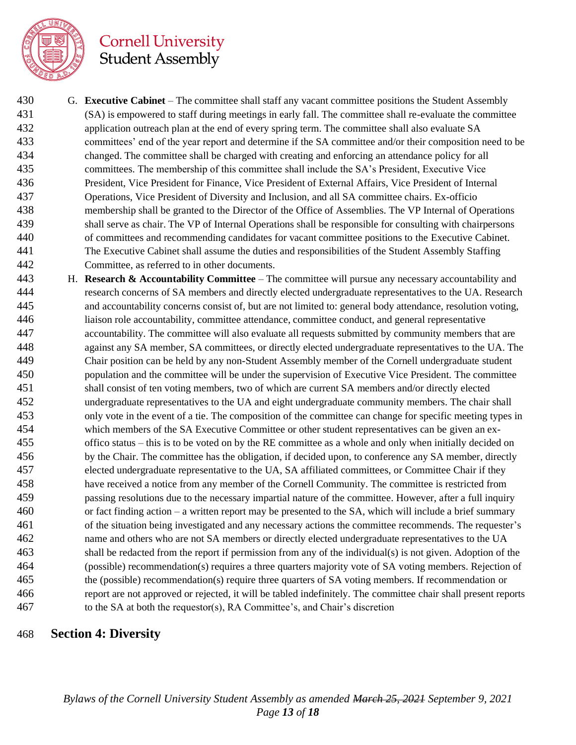

 G. **Executive Cabinet** – The committee shall staff any vacant committee positions the Student Assembly (SA) is empowered to staff during meetings in early fall. The committee shall re-evaluate the committee application outreach plan at the end of every spring term. The committee shall also evaluate SA committees' end of the year report and determine if the SA committee and/or their composition need to be changed. The committee shall be charged with creating and enforcing an attendance policy for all committees. The membership of this committee shall include the SA's President, Executive Vice President, Vice President for Finance, Vice President of External Affairs, Vice President of Internal Operations, Vice President of Diversity and Inclusion, and all SA committee chairs. Ex-officio membership shall be granted to the Director of the Office of Assemblies. The VP Internal of Operations shall serve as chair. The VP of Internal Operations shall be responsible for consulting with chairpersons of committees and recommending candidates for vacant committee positions to the Executive Cabinet. The Executive Cabinet shall assume the duties and responsibilities of the Student Assembly Staffing Committee, as referred to in other documents.

 H. **Research & Accountability Committee** – The committee will pursue any necessary accountability and research concerns of SA members and directly elected undergraduate representatives to the UA. Research and accountability concerns consist of, but are not limited to: general body attendance, resolution voting, liaison role accountability, committee attendance, committee conduct, and general representative accountability. The committee will also evaluate all requests submitted by community members that are against any SA member, SA committees, or directly elected undergraduate representatives to the UA. The Chair position can be held by any non-Student Assembly member of the Cornell undergraduate student population and the committee will be under the supervision of Executive Vice President. The committee shall consist of ten voting members, two of which are current SA members and/or directly elected undergraduate representatives to the UA and eight undergraduate community members. The chair shall only vote in the event of a tie. The composition of the committee can change for specific meeting types in which members of the SA Executive Committee or other student representatives can be given an ex- offico status – this is to be voted on by the RE committee as a whole and only when initially decided on by the Chair. The committee has the obligation, if decided upon, to conference any SA member, directly elected undergraduate representative to the UA, SA affiliated committees, or Committee Chair if they have received a notice from any member of the Cornell Community. The committee is restricted from passing resolutions due to the necessary impartial nature of the committee. However, after a full inquiry or fact finding action – a written report may be presented to the SA, which will include a brief summary of the situation being investigated and any necessary actions the committee recommends. The requester's name and others who are not SA members or directly elected undergraduate representatives to the UA shall be redacted from the report if permission from any of the individual(s) is not given. Adoption of the (possible) recommendation(s) requires a three quarters majority vote of SA voting members. Rejection of the (possible) recommendation(s) require three quarters of SA voting members. If recommendation or report are not approved or rejected, it will be tabled indefinitely. The committee chair shall present reports to the SA at both the requestor(s), RA Committee's, and Chair's discretion

#### **Section 4: Diversity**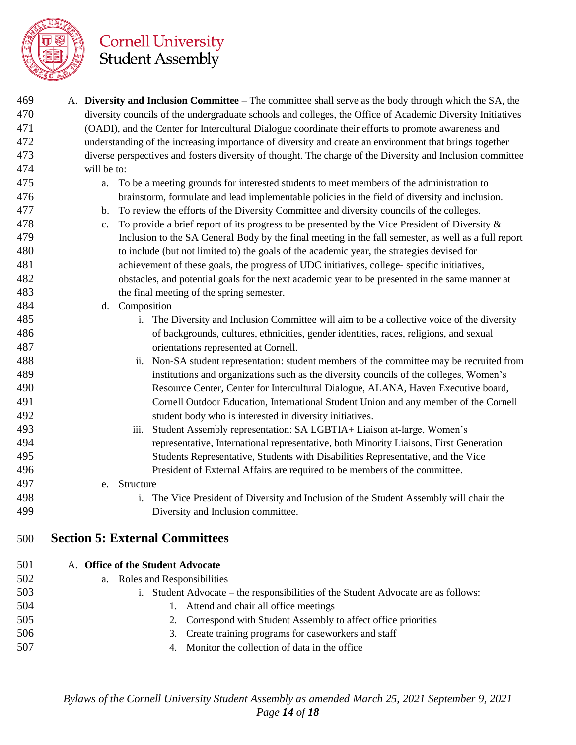

| 469 | A. Diversity and Inclusion Committee – The committee shall serve as the body through which the SA, the           |  |  |  |
|-----|------------------------------------------------------------------------------------------------------------------|--|--|--|
| 470 | diversity councils of the undergraduate schools and colleges, the Office of Academic Diversity Initiatives       |  |  |  |
| 471 | (OADI), and the Center for Intercultural Dialogue coordinate their efforts to promote awareness and              |  |  |  |
| 472 | understanding of the increasing importance of diversity and create an environment that brings together           |  |  |  |
| 473 | diverse perspectives and fosters diversity of thought. The charge of the Diversity and Inclusion committee       |  |  |  |
| 474 | will be to:                                                                                                      |  |  |  |
| 475 | To be a meeting grounds for interested students to meet members of the administration to<br>a.                   |  |  |  |
| 476 | brainstorm, formulate and lead implementable policies in the field of diversity and inclusion.                   |  |  |  |
| 477 | To review the efforts of the Diversity Committee and diversity councils of the colleges.<br>b.                   |  |  |  |
| 478 | To provide a brief report of its progress to be presented by the Vice President of Diversity $\&$<br>$c_{\cdot}$ |  |  |  |
| 479 | Inclusion to the SA General Body by the final meeting in the fall semester, as well as a full report             |  |  |  |
| 480 | to include (but not limited to) the goals of the academic year, the strategies devised for                       |  |  |  |
| 481 | achievement of these goals, the progress of UDC initiatives, college- specific initiatives,                      |  |  |  |
| 482 | obstacles, and potential goals for the next academic year to be presented in the same manner at                  |  |  |  |
| 483 | the final meeting of the spring semester.                                                                        |  |  |  |
| 484 | d. Composition                                                                                                   |  |  |  |
| 485 | i. The Diversity and Inclusion Committee will aim to be a collective voice of the diversity                      |  |  |  |
| 486 | of backgrounds, cultures, ethnicities, gender identities, races, religions, and sexual                           |  |  |  |
| 487 | orientations represented at Cornell.                                                                             |  |  |  |
| 488 | ii. Non-SA student representation: student members of the committee may be recruited from                        |  |  |  |
| 489 | institutions and organizations such as the diversity councils of the colleges, Women's                           |  |  |  |
| 490 | Resource Center, Center for Intercultural Dialogue, ALANA, Haven Executive board,                                |  |  |  |
| 491 | Cornell Outdoor Education, International Student Union and any member of the Cornell                             |  |  |  |
| 492 | student body who is interested in diversity initiatives.                                                         |  |  |  |
| 493 | Student Assembly representation: SA LGBTIA+ Liaison at-large, Women's<br>iii.                                    |  |  |  |
| 494 | representative, International representative, both Minority Liaisons, First Generation                           |  |  |  |
| 495 | Students Representative, Students with Disabilities Representative, and the Vice                                 |  |  |  |
| 496 | President of External Affairs are required to be members of the committee.                                       |  |  |  |
| 497 | Structure<br>e.                                                                                                  |  |  |  |
| 498 | The Vice President of Diversity and Inclusion of the Student Assembly will chair the                             |  |  |  |
| 499 | Diversity and Inclusion committee.                                                                               |  |  |  |
|     |                                                                                                                  |  |  |  |
| 500 | <b>Section 5: External Committees</b>                                                                            |  |  |  |
| 501 | A. Office of the Student Advocate                                                                                |  |  |  |
| 502 | a. Roles and Responsibilities                                                                                    |  |  |  |
| 503 | i. Student Advocate – the responsibilities of the Student Advocate are as follows:                               |  |  |  |
| 504 | Attend and chair all office meetings                                                                             |  |  |  |
| 505 | Correspond with Student Assembly to affect office priorities<br>2.                                               |  |  |  |
| 506 | Create training programs for caseworkers and staff<br>3.                                                         |  |  |  |
| 507 | Monitor the collection of data in the office<br>4.                                                               |  |  |  |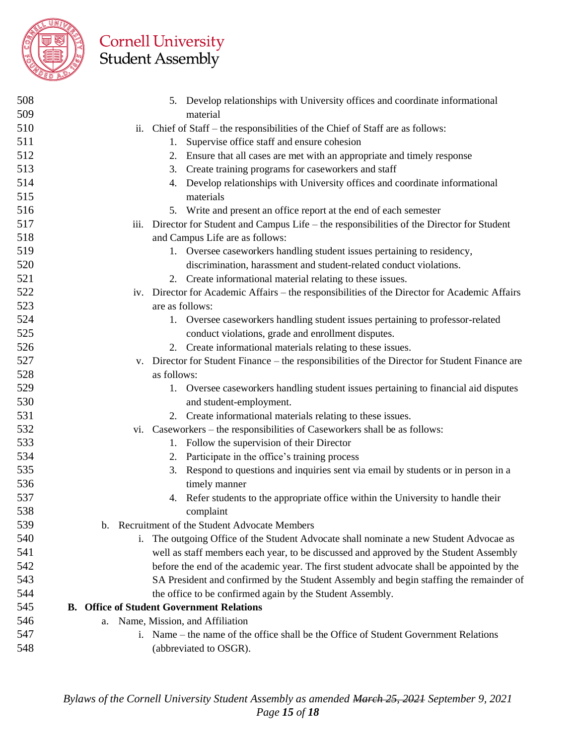

| 508 | 5. Develop relationships with University offices and coordinate informational                  |
|-----|------------------------------------------------------------------------------------------------|
| 509 | material                                                                                       |
| 510 | ii. Chief of Staff – the responsibilities of the Chief of Staff are as follows:                |
| 511 | 1. Supervise office staff and ensure cohesion                                                  |
| 512 | 2. Ensure that all cases are met with an appropriate and timely response                       |
| 513 | 3. Create training programs for caseworkers and staff                                          |
| 514 | 4. Develop relationships with University offices and coordinate informational                  |
| 515 | materials                                                                                      |
| 516 | 5. Write and present an office report at the end of each semester                              |
| 517 | iii. Director for Student and Campus Life – the responsibilities of the Director for Student   |
| 518 | and Campus Life are as follows:                                                                |
| 519 | 1. Oversee caseworkers handling student issues pertaining to residency,                        |
| 520 | discrimination, harassment and student-related conduct violations.                             |
| 521 | 2. Create informational material relating to these issues.                                     |
| 522 | iv. Director for Academic Affairs - the responsibilities of the Director for Academic Affairs  |
| 523 | are as follows:                                                                                |
| 524 | 1. Oversee caseworkers handling student issues pertaining to professor-related                 |
| 525 | conduct violations, grade and enrollment disputes.                                             |
| 526 | 2. Create informational materials relating to these issues.                                    |
| 527 | v. Director for Student Finance – the responsibilities of the Director for Student Finance are |
| 528 | as follows:                                                                                    |
| 529 | 1. Oversee caseworkers handling student issues pertaining to financial aid disputes            |
| 530 | and student-employment.                                                                        |
| 531 | 2. Create informational materials relating to these issues.                                    |
| 532 | vi. Caseworkers – the responsibilities of Caseworkers shall be as follows:                     |
| 533 | 1. Follow the supervision of their Director                                                    |
| 534 | 2. Participate in the office's training process                                                |
| 535 | 3. Respond to questions and inquiries sent via email by students or in person in a             |
| 536 | timely manner                                                                                  |
| 537 | 4. Refer students to the appropriate office within the University to handle their              |
| 538 | complaint                                                                                      |
| 539 | b. Recruitment of the Student Advocate Members                                                 |
| 540 | The outgoing Office of the Student Advocate shall nominate a new Student Advocae as<br>1.      |
| 541 | well as staff members each year, to be discussed and approved by the Student Assembly          |
| 542 | before the end of the academic year. The first student advocate shall be appointed by the      |
| 543 | SA President and confirmed by the Student Assembly and begin staffing the remainder of         |
| 544 | the office to be confirmed again by the Student Assembly.                                      |
| 545 | <b>B.</b> Office of Student Government Relations                                               |
| 546 | Name, Mission, and Affiliation<br>a.                                                           |
| 547 | i. Name – the name of the office shall be the Office of Student Government Relations           |
| 548 | (abbreviated to OSGR).                                                                         |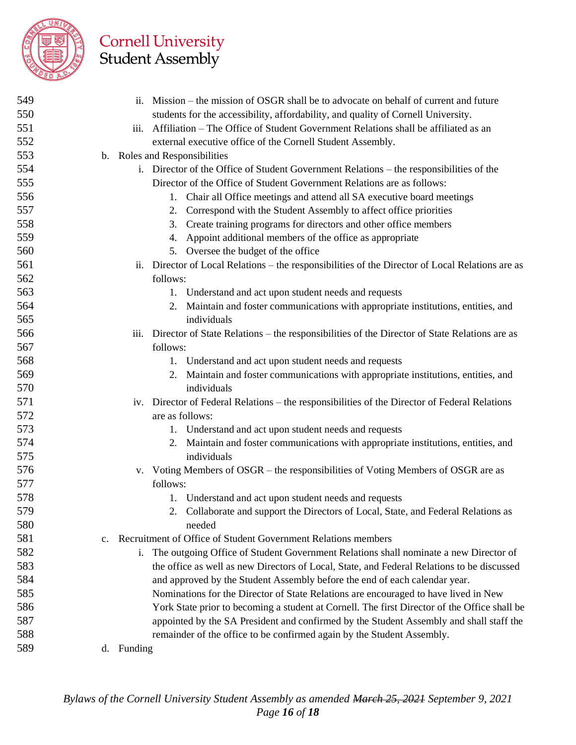

| 549 |             | ii. Mission – the mission of OSGR shall be to advocate on behalf of current and future                                     |
|-----|-------------|----------------------------------------------------------------------------------------------------------------------------|
| 550 |             | students for the accessibility, affordability, and quality of Cornell University.                                          |
| 551 |             | iii. Affiliation – The Office of Student Government Relations shall be affiliated as an                                    |
| 552 |             | external executive office of the Cornell Student Assembly.                                                                 |
| 553 |             | b. Roles and Responsibilities                                                                                              |
| 554 |             | i. Director of the Office of Student Government Relations – the responsibilities of the                                    |
| 555 |             | Director of the Office of Student Government Relations are as follows:                                                     |
| 556 |             | Chair all Office meetings and attend all SA executive board meetings<br>1.                                                 |
| 557 |             | 2. Correspond with the Student Assembly to affect office priorities                                                        |
| 558 |             | Create training programs for directors and other office members<br>3.                                                      |
| 559 |             | 4. Appoint additional members of the office as appropriate                                                                 |
| 560 |             | 5. Oversee the budget of the office                                                                                        |
| 561 |             | Director of Local Relations – the responsibilities of the Director of Local Relations are as<br>$\overline{\mathbf{11}}$ . |
| 562 |             | follows:                                                                                                                   |
| 563 |             | 1. Understand and act upon student needs and requests                                                                      |
| 564 |             | 2. Maintain and foster communications with appropriate institutions, entities, and                                         |
| 565 |             | individuals                                                                                                                |
| 566 |             | iii. Director of State Relations – the responsibilities of the Director of State Relations are as                          |
| 567 |             | follows:                                                                                                                   |
| 568 |             | 1. Understand and act upon student needs and requests                                                                      |
| 569 |             | 2. Maintain and foster communications with appropriate institutions, entities, and                                         |
| 570 |             | individuals                                                                                                                |
| 571 |             | iv. Director of Federal Relations – the responsibilities of the Director of Federal Relations                              |
| 572 |             | are as follows:                                                                                                            |
| 573 |             | 1. Understand and act upon student needs and requests                                                                      |
| 574 |             | 2. Maintain and foster communications with appropriate institutions, entities, and                                         |
| 575 |             | individuals                                                                                                                |
| 576 |             | Voting Members of OSGR – the responsibilities of Voting Members of OSGR are as<br>V.                                       |
| 577 |             | follows:                                                                                                                   |
| 578 |             | 1. Understand and act upon student needs and requests                                                                      |
| 579 |             | 2. Collaborate and support the Directors of Local, State, and Federal Relations as                                         |
| 580 |             | needed                                                                                                                     |
| 581 | $c_{\cdot}$ | Recruitment of Office of Student Government Relations members                                                              |
| 582 |             | The outgoing Office of Student Government Relations shall nominate a new Director of<br>1.                                 |
| 583 |             | the office as well as new Directors of Local, State, and Federal Relations to be discussed                                 |
| 584 |             | and approved by the Student Assembly before the end of each calendar year.                                                 |
| 585 |             | Nominations for the Director of State Relations are encouraged to have lived in New                                        |
| 586 |             | York State prior to becoming a student at Cornell. The first Director of the Office shall be                               |
| 587 |             | appointed by the SA President and confirmed by the Student Assembly and shall staff the                                    |
| 588 |             | remainder of the office to be confirmed again by the Student Assembly.                                                     |
| 589 |             | d. Funding                                                                                                                 |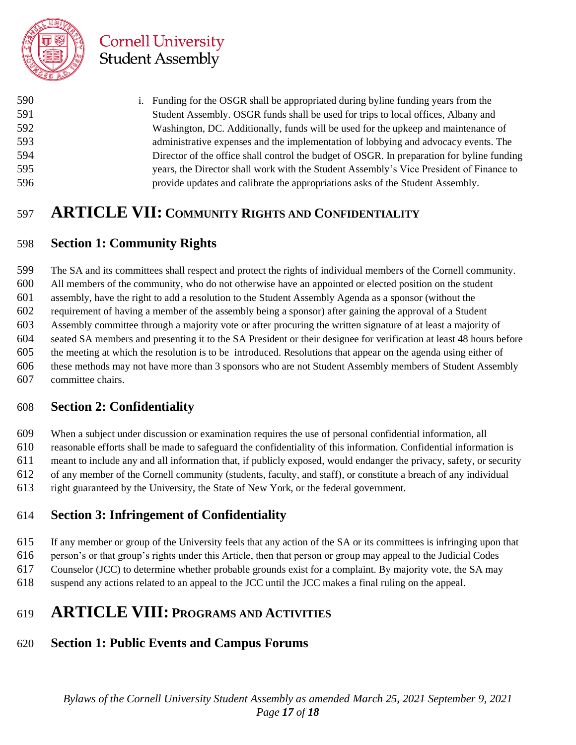

| 590 | i. Funding for the OSGR shall be appropriated during byline funding years from the         |
|-----|--------------------------------------------------------------------------------------------|
| 591 | Student Assembly. OSGR funds shall be used for trips to local offices, Albany and          |
| 592 | Washington, DC. Additionally, funds will be used for the upkeep and maintenance of         |
| 593 | administrative expenses and the implementation of lobbying and advocacy events. The        |
| 594 | Director of the office shall control the budget of OSGR. In preparation for byline funding |
| 595 | years, the Director shall work with the Student Assembly's Vice President of Finance to    |
| 596 | provide updates and calibrate the appropriations asks of the Student Assembly.             |

## **ARTICLE VII: COMMUNITY RIGHTS AND CONFIDENTIALITY**

#### **Section 1: Community Rights**

 The SA and its committees shall respect and protect the rights of individual members of the Cornell community. All members of the community, who do not otherwise have an appointed or elected position on the student assembly, have the right to add a resolution to the Student Assembly Agenda as a sponsor (without the requirement of having a member of the assembly being a sponsor) after gaining the approval of a Student Assembly committee through a majority vote or after procuring the written signature of at least a majority of seated SA members and presenting it to the SA President or their designee for verification at least 48 hours before the meeting at which the resolution is to be introduced. Resolutions that appear on the agenda using either of these methods may not have more than 3 sponsors who are not Student Assembly members of Student Assembly committee chairs.

#### **Section 2: Confidentiality**

 When a subject under discussion or examination requires the use of personal confidential information, all reasonable efforts shall be made to safeguard the confidentiality of this information. Confidential information is meant to include any and all information that, if publicly exposed, would endanger the privacy, safety, or security of any member of the Cornell community (students, faculty, and staff), or constitute a breach of any individual right guaranteed by the University, the State of New York, or the federal government.

#### **Section 3: Infringement of Confidentiality**

If any member or group of the University feels that any action of the SA or its committees is infringing upon that

person's or that group's rights under this Article, then that person or group may appeal to the Judicial Codes

Counselor (JCC) to determine whether probable grounds exist for a complaint. By majority vote, the SA may

suspend any actions related to an appeal to the JCC until the JCC makes a final ruling on the appeal.

## **ARTICLE VIII: PROGRAMS AND ACTIVITIES**

#### **Section 1: Public Events and Campus Forums**